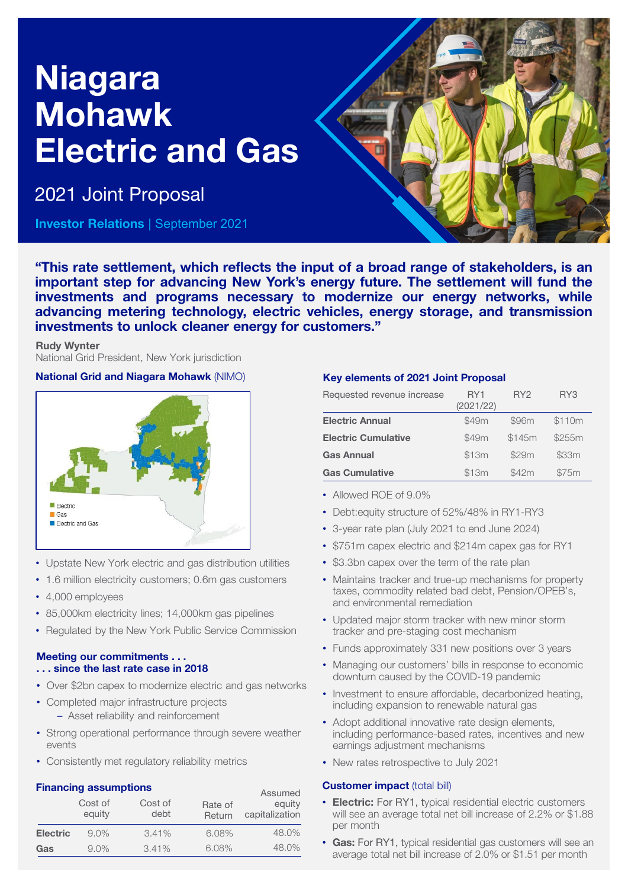# Niagara Mohawk Electric and Gas

2021 Joint Proposal

Investor Relations | September 2021



"This rate settlement, which reflects the input of a broad range of stakeholders, is an important step for advancing New York's energy future. The settlement will fund the investments and programs necessary to modernize our energy networks, while advancing metering technology, electric vehicles, energy storage, and transmission investments to unlock cleaner energy for customers."

#### Rudy Wynter

National Grid President, New York jurisdiction

### National Grid and Niagara Mohawk (NIMO)



- Upstate New York electric and gas distribution utilities
- 1.6 million electricity customers; 0.6m gas customers
- 4,000 employees
- 85,000km electricity lines; 14,000km gas pipelines
- Regulated by the New York Public Service Commission

#### Meeting our commitments . . . . . . since the last rate case in 2018

- Over \$2bn capex to modernize electric and gas networks
- Completed major infrastructure projects – Asset reliability and reinforcement
- Strong operational performance through severe weather events
- Consistently met regulatory reliability metrics

# Financing assumptions

|                 | <b>THROUGHLY ASSAILLY LIST</b><br>Cost of<br>equity | Cost of<br>debt | Rate of<br>Return | Assumed<br>equity<br>capitalization |
|-----------------|-----------------------------------------------------|-----------------|-------------------|-------------------------------------|
| <b>Electric</b> | $9.0\%$                                             | 3.41%           | 6.08%             | 48.0%                               |
| Gas             | 9.0%                                                | 3.41%           | 6.08%             | 48.0%                               |

# Key elements of 2021 Joint Proposal

| Requested revenue increase | RY1<br>(2021/22) | RY <sub>2</sub> | RY3    |
|----------------------------|------------------|-----------------|--------|
| <b>Electric Annual</b>     | \$49m            | \$96m           | \$110m |
| <b>Electric Cumulative</b> | \$49m            | \$145m          | \$255m |
| <b>Gas Annual</b>          | \$13m            | \$29m           | \$33m  |
| <b>Gas Cumulative</b>      | \$13m            | \$42m           | \$75m  |

- Allowed ROF of 9.0%
- Debt:equity structure of 52%/48% in RY1-RY3
- 3-year rate plan (July 2021 to end June 2024)
- \$751m capex electric and \$214m capex gas for RY1
- \$3.3bn capex over the term of the rate plan
- Maintains tracker and true-up mechanisms for property taxes, commodity related bad debt, Pension/OPEB's, and environmental remediation
- Updated major storm tracker with new minor storm tracker and pre-staging cost mechanism
- Funds approximately 331 new positions over 3 years
- Managing our customers' bills in response to economic downturn caused by the COVID-19 pandemic
- Investment to ensure affordable, decarbonized heating, including expansion to renewable natural gas
- Adopt additional innovative rate design elements, including performance-based rates, incentives and new earnings adjustment mechanisms
- New rates retrospective to July 2021

# **Customer impact (total bill)**

- Electric: For RY1, typical residential electric customers will see an average total net bill increase of 2.2% or \$1.88 per month
- Gas: For RY1, typical residential gas customers will see an average total net bill increase of 2.0% or \$1.51 per month